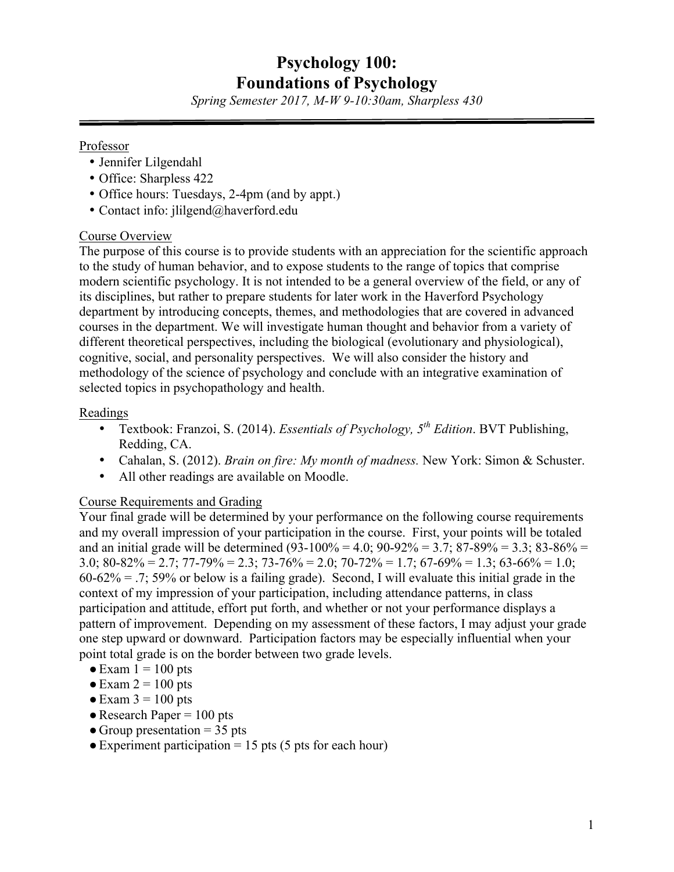# **Psychology 100: Foundations of Psychology**

*Spring Semester 2017, M-W 9-10:30am, Sharpless 430 \_\_\_\_\_\_\_\_\_\_\_\_\_\_\_\_\_\_\_\_\_\_\_\_\_\_\_\_\_\_\_\_\_\_\_\_\_\_\_\_\_\_\_\_\_\_\_\_\_\_\_\_\_\_\_\_\_\_\_\_\_\_\_\_\_\_*

#### Professor

- Jennifer Lilgendahl
- Office: Sharpless 422
- Office hours: Tuesdays, 2-4pm (and by appt.)
- Contact info: jlilgend@haverford.edu

## Course Overview

The purpose of this course is to provide students with an appreciation for the scientific approach to the study of human behavior, and to expose students to the range of topics that comprise modern scientific psychology. It is not intended to be a general overview of the field, or any of its disciplines, but rather to prepare students for later work in the Haverford Psychology department by introducing concepts, themes, and methodologies that are covered in advanced courses in the department. We will investigate human thought and behavior from a variety of different theoretical perspectives, including the biological (evolutionary and physiological), cognitive, social, and personality perspectives. We will also consider the history and methodology of the science of psychology and conclude with an integrative examination of selected topics in psychopathology and health.

## Readings

- Textbook: Franzoi, S. (2014). *Essentials of Psychology, 5th Edition*. BVT Publishing, Redding, CA.
- Cahalan, S. (2012). *Brain on fire: My month of madness.* New York: Simon & Schuster.
- All other readings are available on Moodle.

# Course Requirements and Grading

Your final grade will be determined by your performance on the following course requirements and my overall impression of your participation in the course. First, your points will be totaled and an initial grade will be determined  $(93-100\% = 4.0; 90-92\% = 3.7; 87-89\% = 3.3; 83-86\% =$ 3.0;  $80-82\% = 2.7$ ;  $77-79\% = 2.3$ ;  $73-76\% = 2.0$ ;  $70-72\% = 1.7$ ;  $67-69\% = 1.3$ ;  $63-66\% = 1.0$ ;  $60-62\% = .7$ ; 59% or below is a failing grade). Second, I will evaluate this initial grade in the context of my impression of your participation, including attendance patterns, in class participation and attitude, effort put forth, and whether or not your performance displays a pattern of improvement. Depending on my assessment of these factors, I may adjust your grade one step upward or downward. Participation factors may be especially influential when your point total grade is on the border between two grade levels.

- $\bullet$  Exam  $1 = 100$  pts
- $\bullet$  Exam 2 = 100 pts
- $\blacktriangleright$  Exam 3 = 100 pts
- $\bullet$  Research Paper = 100 pts
- Group presentation  $=$  35 pts
- $\bullet$  Experiment participation = 15 pts (5 pts for each hour)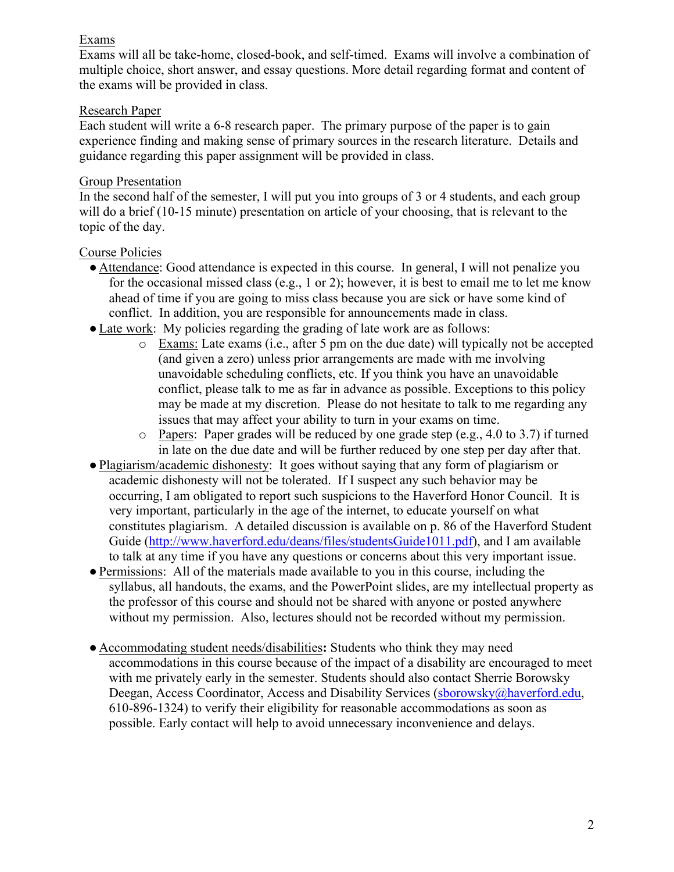#### Exams

Exams will all be take-home, closed-book, and self-timed. Exams will involve a combination of multiple choice, short answer, and essay questions. More detail regarding format and content of the exams will be provided in class.

## Research Paper

Each student will write a 6-8 research paper. The primary purpose of the paper is to gain experience finding and making sense of primary sources in the research literature. Details and guidance regarding this paper assignment will be provided in class.

## Group Presentation

In the second half of the semester, I will put you into groups of 3 or 4 students, and each group will do a brief (10-15 minute) presentation on article of your choosing, that is relevant to the topic of the day.

# Course Policies

- Attendance: Good attendance is expected in this course. In general, I will not penalize you for the occasional missed class (e.g., 1 or 2); however, it is best to email me to let me know ahead of time if you are going to miss class because you are sick or have some kind of conflict. In addition, you are responsible for announcements made in class.
- Late work: My policies regarding the grading of late work are as follows:
	- o Exams: Late exams (i.e., after 5 pm on the due date) will typically not be accepted (and given a zero) unless prior arrangements are made with me involving unavoidable scheduling conflicts, etc. If you think you have an unavoidable conflict, please talk to me as far in advance as possible. Exceptions to this policy may be made at my discretion. Please do not hesitate to talk to me regarding any issues that may affect your ability to turn in your exams on time.
	- o Papers: Paper grades will be reduced by one grade step (e.g., 4.0 to 3.7) if turned in late on the due date and will be further reduced by one step per day after that.
- Plagiarism/academic dishonesty: It goes without saying that any form of plagiarism or academic dishonesty will not be tolerated. If I suspect any such behavior may be occurring, I am obligated to report such suspicions to the Haverford Honor Council. It is very important, particularly in the age of the internet, to educate yourself on what constitutes plagiarism. A detailed discussion is available on p. 86 of the Haverford Student Guide (http://www.haverford.edu/deans/files/studentsGuide1011.pdf), and I am available to talk at any time if you have any questions or concerns about this very important issue.
- ●Permissions: All of the materials made available to you in this course, including the syllabus, all handouts, the exams, and the PowerPoint slides, are my intellectual property as the professor of this course and should not be shared with anyone or posted anywhere without my permission. Also, lectures should not be recorded without my permission.
- Accommodating student needs/disabilities**:** Students who think they may need accommodations in this course because of the impact of a disability are encouraged to meet with me privately early in the semester. Students should also contact Sherrie Borowsky Deegan, Access Coordinator, Access and Disability Services (sborowsky@haverford.edu, 610-896-1324) to verify their eligibility for reasonable accommodations as soon as possible. Early contact will help to avoid unnecessary inconvenience and delays.